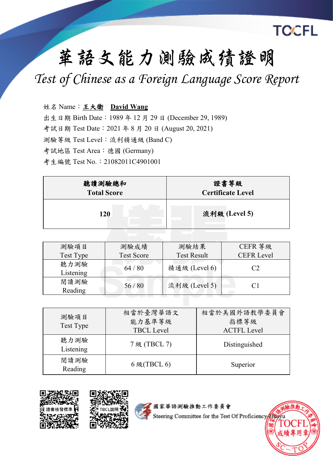

## **華語文能力測驗成绩證明**

*Test of Chinese as a Foreign Language Score Report*

姓名 Name:王大衛 **David Wang**

出生日期 Birth Date: 1989 年 12 月 29 日 (December 29, 1989)

考試日期 Test Date:2021 年 8 月 20 日 (August 20, 2021)

測驗等級 Test Level:流利精通級 (Band C)

考試地區 Test Area: 德國 (Germany)

考生編號 Test No.: 21082011C4901001

| 聽讀測驗總和             | 證書等級                     |
|--------------------|--------------------------|
| <b>Total Score</b> | <b>Certificate Level</b> |
| 120                | 流利級 (Level 5)            |

| 測驗項目              | 測驗成績              | 測驗結果               | CEFR 等級           |
|-------------------|-------------------|--------------------|-------------------|
| Test Type         | <b>Test Score</b> | <b>Test Result</b> | <b>CEFR Level</b> |
| 聽力測驗<br>Listening | 64/80             | 精通級 (Level 6)      | C2                |
| 閱讀測驗<br>Reading   | 56/80             | 流利級 (Level 5)      | $\mathrm{C}1$     |

| 測驗項目<br>Test Type | 相當於臺灣華語文<br>能力基準等級<br><b>TBCL Level</b> | 相當於美國外語教學委員會<br>指標等級<br><b>ACTFL Level</b> |
|-------------------|-----------------------------------------|--------------------------------------------|
| 聽力測驗<br>Listening | 7 级 (TBCL 7)                            | Distinguished                              |
| 閱讀測驗<br>Reading   | $6$ 級(TBCL $6$ )                        | Superior                                   |





國家華語測驗推動工作委員會

Steering Committee for the Test Of Proficiency